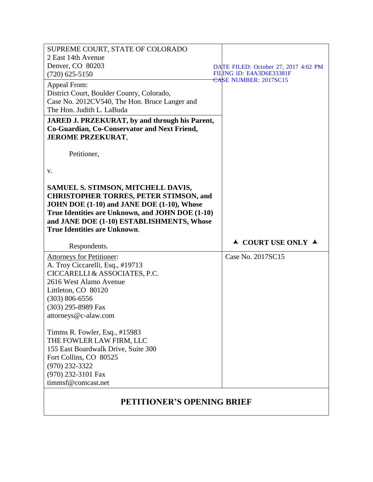| SUPREME COURT, STATE OF COLORADO<br>2 East 14th Avenue<br>Denver, CO 80203                                                                                                                                                                                                                                                                                                                                        | DATE FILED: October 27, 2017 4:02 PM   |
|-------------------------------------------------------------------------------------------------------------------------------------------------------------------------------------------------------------------------------------------------------------------------------------------------------------------------------------------------------------------------------------------------------------------|----------------------------------------|
| $(720)$ 625-5150                                                                                                                                                                                                                                                                                                                                                                                                  | FILING ID: E4A3D6E33381F               |
| Appeal From:<br>District Court, Boulder County, Colorado,<br>Case No. 2012CV540, The Hon. Bruce Langer and<br>The Hon. Judith L. LaBuda                                                                                                                                                                                                                                                                           | CASE NUMBER: 2017SC15                  |
| <b>JARED J. PRZEKURAT, by and through his Parent,</b><br>Co-Guardian, Co-Conservator and Next Friend,<br><b>JEROME PRZEKURAT,</b>                                                                                                                                                                                                                                                                                 |                                        |
| Petitioner,                                                                                                                                                                                                                                                                                                                                                                                                       |                                        |
| V.                                                                                                                                                                                                                                                                                                                                                                                                                |                                        |
| SAMUEL S. STIMSON, MITCHELL DAVIS,<br><b>CHRISTOPHER TORRES, PETER STIMSON, and</b><br>JOHN DOE (1-10) and JANE DOE (1-10), Whose<br>True Identities are Unknown, and JOHN DOE (1-10)<br>and JANE DOE (1-10) ESTABLISHMENTS, Whose                                                                                                                                                                                |                                        |
| <b>True Identities are Unknown.</b>                                                                                                                                                                                                                                                                                                                                                                               |                                        |
| Respondents.                                                                                                                                                                                                                                                                                                                                                                                                      | $\triangle$ COURT USE ONLY $\triangle$ |
| Attorneys for Petitioner:<br>A. Troy Ciccarelli, Esq., #19713<br>CICCARELLI & ASSOCIATES, P.C.<br>2616 West Alamo Avenue<br>Littleton, CO 80120<br>$(303) 806 - 6556$<br>(303) 295-8989 Fax<br>attorneys@c-alaw.com<br>Timms R. Fowler, Esq., #15983<br>THE FOWLER LAW FIRM, LLC<br>155 East Boardwalk Drive, Suite 300<br>Fort Collins, CO 80525<br>$(970)$ 232-3322<br>(970) 232-3101 Fax<br>timmsf@comcast.net | Case No. 2017SC15                      |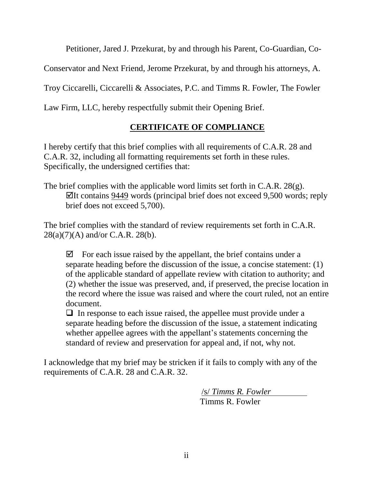Petitioner, Jared J. Przekurat, by and through his Parent, Co-Guardian, Co-

Conservator and Next Friend, Jerome Przekurat, by and through his attorneys, A.

Troy Ciccarelli, Ciccarelli & Associates, P.C. and Timms R. Fowler, The Fowler

Law Firm, LLC, hereby respectfully submit their Opening Brief.

# **CERTIFICATE OF COMPLIANCE**

I hereby certify that this brief complies with all requirements of C.A.R. 28 and C.A.R. 32, including all formatting requirements set forth in these rules. Specifically, the undersigned certifies that:

The brief complies with the applicable word limits set forth in C.A.R. 28(g).  $\Pi$ It contains 9449 words (principal brief does not exceed 9,500 words; reply brief does not exceed 5,700).

The brief complies with the standard of review requirements set forth in C.A.R. 28(a)(7)(A) and/or C.A.R. 28(b).

 $\boxtimes$  For each issue raised by the appellant, the brief contains under a separate heading before the discussion of the issue, a concise statement: (1) of the applicable standard of appellate review with citation to authority; and (2) whether the issue was preserved, and, if preserved, the precise location in the record where the issue was raised and where the court ruled, not an entire document.

 $\Box$  In response to each issue raised, the appellee must provide under a separate heading before the discussion of the issue, a statement indicating whether appellee agrees with the appellant's statements concerning the standard of review and preservation for appeal and, if not, why not.

I acknowledge that my brief may be stricken if it fails to comply with any of the requirements of C.A.R. 28 and C.A.R. 32.

> /s/ *Timms R. Fowler* Timms R. Fowler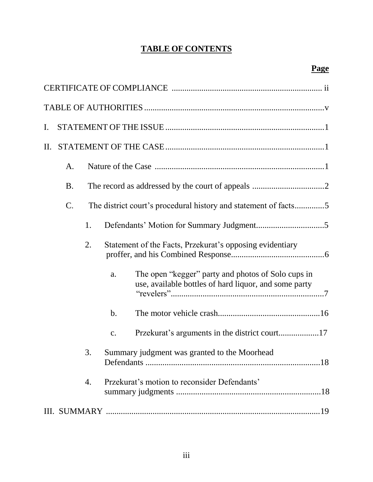# **TABLE OF CONTENTS**

| $\mathbf{I}$ . |                 |    |                                                                                                                   |  |
|----------------|-----------------|----|-------------------------------------------------------------------------------------------------------------------|--|
| П.             |                 |    |                                                                                                                   |  |
|                | A.              |    |                                                                                                                   |  |
|                | <b>B.</b>       |    |                                                                                                                   |  |
|                | $\mathcal{C}$ . |    | The district court's procedural history and statement of facts5                                                   |  |
|                |                 | 1. |                                                                                                                   |  |
|                |                 | 2. | Statement of the Facts, Przekurat's opposing evidentiary                                                          |  |
|                |                 |    | The open "kegger" party and photos of Solo cups in<br>a.<br>use, available bottles of hard liquor, and some party |  |
|                |                 |    | $\mathbf b$ .                                                                                                     |  |
|                |                 |    | Przekurat's arguments in the district court17<br>c.                                                               |  |
|                |                 | 3. | Summary judgment was granted to the Moorhead                                                                      |  |
|                |                 | 4. | Przekurat's motion to reconsider Defendants'                                                                      |  |
|                |                 |    |                                                                                                                   |  |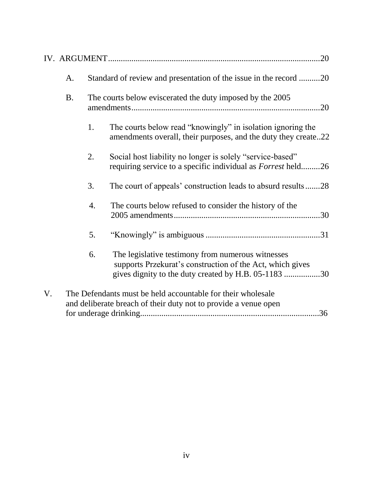|    |           |    | .20                                                                                                                                                                    |
|----|-----------|----|------------------------------------------------------------------------------------------------------------------------------------------------------------------------|
|    | A.        |    | Standard of review and presentation of the issue in the record 20                                                                                                      |
|    | <b>B.</b> |    | The courts below eviscerated the duty imposed by the 2005<br>.20                                                                                                       |
|    |           | 1. | The courts below read "knowingly" in isolation ignoring the<br>amendments overall, their purposes, and the duty they create22                                          |
|    |           | 2. | Social host liability no longer is solely "service-based"<br>requiring service to a specific individual as <i>Forrest</i> held26                                       |
|    |           | 3. | The court of appeals' construction leads to absurd results28                                                                                                           |
|    |           | 4. | The courts below refused to consider the history of the                                                                                                                |
|    |           | 5. |                                                                                                                                                                        |
|    |           | 6. | The legislative testimony from numerous witnesses<br>supports Przekurat's construction of the Act, which gives<br>gives dignity to the duty created by H.B. 05-1183 30 |
| V. |           |    | The Defendants must be held accountable for their wholesale<br>and deliberate breach of their duty not to provide a venue open<br>.36                                  |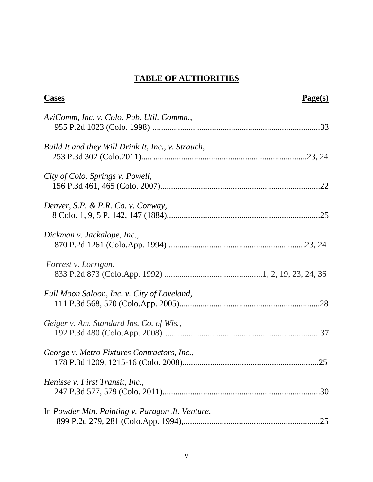# **TABLE OF AUTHORITIES**

| <b>Cases</b>                                       | Page(s) |
|----------------------------------------------------|---------|
| AviComm, Inc. v. Colo. Pub. Util. Commn.,          |         |
| Build It and they Will Drink It, Inc., v. Strauch, |         |
| City of Colo. Springs v. Powell,                   |         |
| Denver, S.P. & P.R. Co. v. Conway,                 |         |
| Dickman v. Jackalope, Inc.,                        |         |
| Forrest v. Lorrigan,                               |         |
| Full Moon Saloon, Inc. v. City of Loveland,        |         |
| Geiger v. Am. Standard Ins. Co. of Wis.,           |         |
| George v. Metro Fixtures Contractors, Inc.,        |         |
| Henisse v. First Transit, Inc.,                    | .30     |
| In Powder Mtn. Painting v. Paragon Jt. Venture,    | .25     |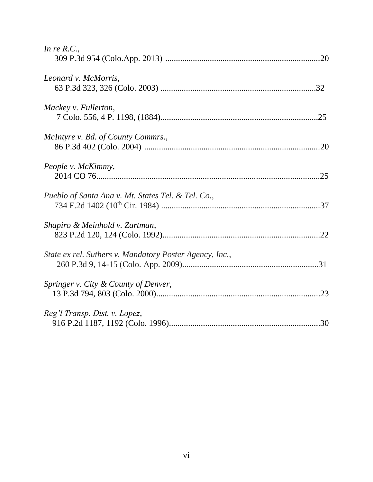| In re $R.C.,$                                           |
|---------------------------------------------------------|
| Leonard v. McMorris,                                    |
| Mackey v. Fullerton,                                    |
| McIntyre v. Bd. of County Commrs.,                      |
| People v. McKimmy,                                      |
| Pueblo of Santa Ana v. Mt. States Tel. & Tel. Co.,      |
| Shapiro & Meinhold v. Zartman,                          |
| State ex rel. Suthers v. Mandatory Poster Agency, Inc., |
| Springer v. City & County of Denver,                    |
| Reg'l Transp. Dist. v. Lopez,                           |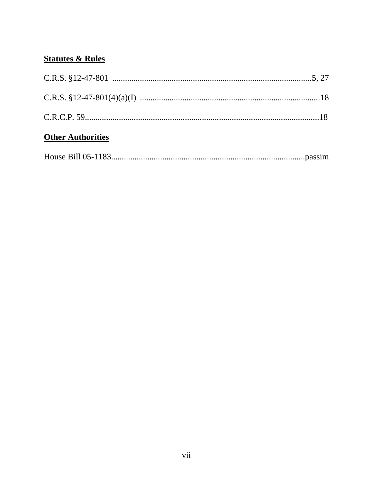# **Statutes & Rules**

| <b>Other Authorities</b> |  |
|--------------------------|--|
|                          |  |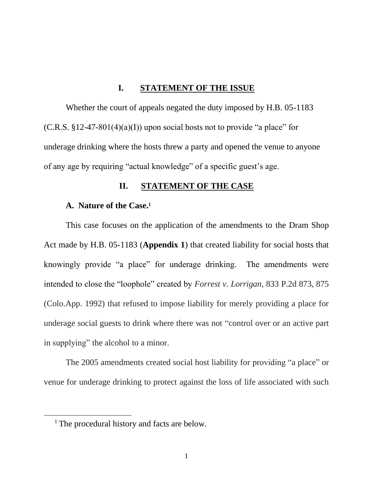#### **I. STATEMENT OF THE ISSUE**

Whether the court of appeals negated the duty imposed by H.B. 05-1183  $(C.R.S. §12-47-801(4)(a)(I))$  upon social hosts not to provide "a place" for underage drinking where the hosts threw a party and opened the venue to anyone of any age by requiring "actual knowledge" of a specific guest's age.

#### **II. STATEMENT OF THE CASE**

#### **A. Nature of the Case.<sup>1</sup>**

This case focuses on the application of the amendments to the Dram Shop Act made by H.B. 05-1183 (**Appendix 1**) that created liability for social hosts that knowingly provide "a place" for underage drinking. The amendments were intended to close the "loophole" created by *Forrest v. Lorrigan*, 833 P.2d 873, 875 (Colo.App. 1992) that refused to impose liability for merely providing a place for underage social guests to drink where there was not "control over or an active part in supplying" the alcohol to a minor.

The 2005 amendments created social host liability for providing "a place" or venue for underage drinking to protect against the loss of life associated with such

<sup>&</sup>lt;sup>1</sup> The procedural history and facts are below.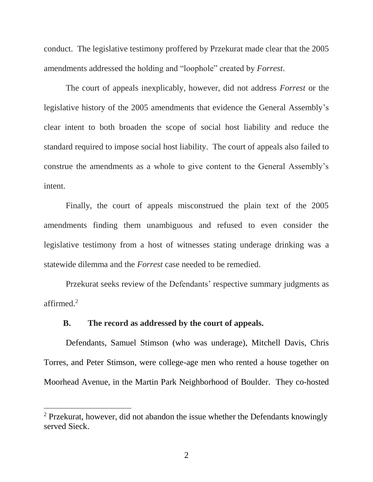conduct. The legislative testimony proffered by Przekurat made clear that the 2005 amendments addressed the holding and "loophole" created by *Forrest*.

The court of appeals inexplicably, however, did not address *Forrest* or the legislative history of the 2005 amendments that evidence the General Assembly's clear intent to both broaden the scope of social host liability and reduce the standard required to impose social host liability. The court of appeals also failed to construe the amendments as a whole to give content to the General Assembly's intent.

Finally, the court of appeals misconstrued the plain text of the 2005 amendments finding them unambiguous and refused to even consider the legislative testimony from a host of witnesses stating underage drinking was a statewide dilemma and the *Forrest* case needed to be remedied.

Przekurat seeks review of the Defendants' respective summary judgments as affirmed. 2

#### **B. The record as addressed by the court of appeals.**

 $\overline{a}$ 

Defendants, Samuel Stimson (who was underage), Mitchell Davis, Chris Torres, and Peter Stimson, were college-age men who rented a house together on Moorhead Avenue, in the Martin Park Neighborhood of Boulder. They co-hosted

 $2$  Przekurat, however, did not abandon the issue whether the Defendants knowingly served Sieck.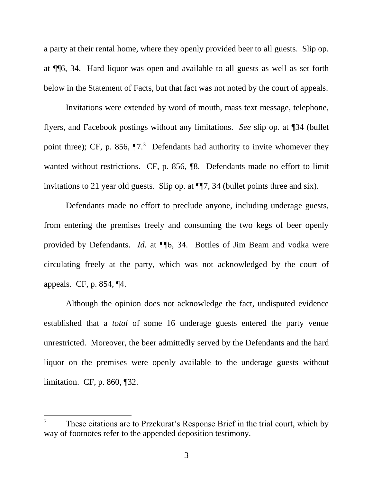a party at their rental home, where they openly provided beer to all guests. Slip op. at ¶¶6, 34. Hard liquor was open and available to all guests as well as set forth below in the Statement of Facts, but that fact was not noted by the court of appeals.

Invitations were extended by word of mouth, mass text message, telephone, flyers, and Facebook postings without any limitations. *See* slip op. at ¶34 (bullet point three); CF, p. 856,  $\P$ 7.<sup>3</sup> Defendants had authority to invite whomever they wanted without restrictions. CF, p. 856,  $\%$ . Defendants made no effort to limit invitations to 21 year old guests. Slip op. at ¶¶7, 34 (bullet points three and six).

Defendants made no effort to preclude anyone, including underage guests, from entering the premises freely and consuming the two kegs of beer openly provided by Defendants. *Id.* at ¶¶6, 34. Bottles of Jim Beam and vodka were circulating freely at the party, which was not acknowledged by the court of appeals. CF, p. 854, ¶4.

Although the opinion does not acknowledge the fact, undisputed evidence established that a *total* of some 16 underage guests entered the party venue unrestricted. Moreover, the beer admittedly served by the Defendants and the hard liquor on the premises were openly available to the underage guests without limitation. CF, p. 860, ¶32.

<sup>&</sup>lt;sup>3</sup> These citations are to Przekurat's Response Brief in the trial court, which by way of footnotes refer to the appended deposition testimony.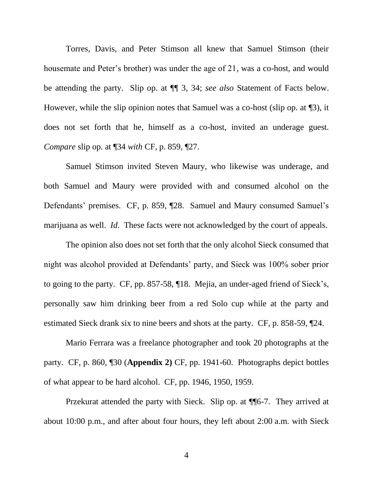Torres, Davis, and Peter Stimson all knew that Samuel Stimson (their housemate and Peter's brother) was under the age of 21, was a co-host, and would be attending the party. Slip op. at ¶¶ 3, 34; *see also* Statement of Facts below. However, while the slip opinion notes that Samuel was a co-host (slip op. at ¶3), it does not set forth that he, himself as a co-host, invited an underage guest. *Compare* slip op. at ¶34 *with* CF, p. 859, ¶27.

Samuel Stimson invited Steven Maury, who likewise was underage, and both Samuel and Maury were provided with and consumed alcohol on the Defendants' premises. CF, p. 859, ¶28. Samuel and Maury consumed Samuel's marijuana as well. *Id*. These facts were not acknowledged by the court of appeals.

The opinion also does not set forth that the only alcohol Sieck consumed that night was alcohol provided at Defendants' party, and Sieck was 100% sober prior to going to the party. CF, pp. 857-58, ¶18. Mejia, an under-aged friend of Sieck's, personally saw him drinking beer from a red Solo cup while at the party and estimated Sieck drank six to nine beers and shots at the party. CF, p. 858-59, ¶24.

Mario Ferrara was a freelance photographer and took 20 photographs at the party. CF, p. 860, ¶30 (**Appendix 2)** CF, pp. 1941-60. Photographs depict bottles of what appear to be hard alcohol. CF, pp. 1946, 1950, 1959.

Przekurat attended the party with Sieck. Slip op. at ¶¶6-7. They arrived at about 10:00 p.m., and after about four hours, they left about 2:00 a.m. with Sieck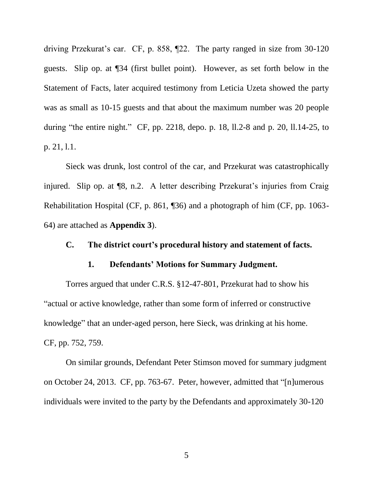driving Przekurat's car. CF, p. 858, ¶22. The party ranged in size from 30-120 guests. Slip op. at ¶34 (first bullet point). However, as set forth below in the Statement of Facts, later acquired testimony from Leticia Uzeta showed the party was as small as 10-15 guests and that about the maximum number was 20 people during "the entire night." CF, pp. 2218, depo. p. 18, ll.2-8 and p. 20, ll.14-25, to p. 21, l.1.

Sieck was drunk, lost control of the car, and Przekurat was catastrophically injured. Slip op. at ¶8, n.2. A letter describing Przekurat's injuries from Craig Rehabilitation Hospital (CF, p. 861, ¶36) and a photograph of him (CF, pp. 1063- 64) are attached as **Appendix 3**).

#### **C. The district court's procedural history and statement of facts.**

#### **1. Defendants' Motions for Summary Judgment.**

Torres argued that under C.R.S. §12-47-801, Przekurat had to show his "actual or active knowledge, rather than some form of inferred or constructive knowledge" that an under-aged person, here Sieck, was drinking at his home. CF, pp. 752, 759.

On similar grounds, Defendant Peter Stimson moved for summary judgment on October 24, 2013. CF, pp. 763-67. Peter, however, admitted that "[n]umerous individuals were invited to the party by the Defendants and approximately 30-120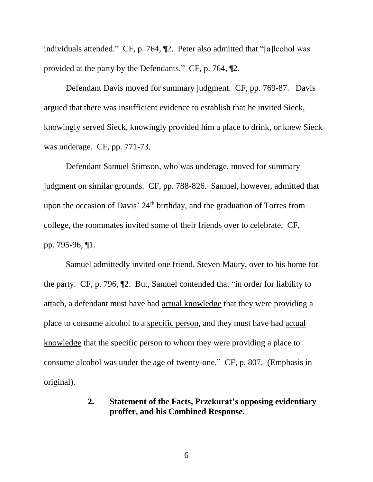individuals attended." CF, p. 764, ¶2. Peter also admitted that "[a]lcohol was provided at the party by the Defendants." CF, p. 764, ¶2.

Defendant Davis moved for summary judgment. CF, pp. 769-87. Davis argued that there was insufficient evidence to establish that he invited Sieck, knowingly served Sieck, knowingly provided him a place to drink, or knew Sieck was underage. CF, pp. 771-73.

Defendant Samuel Stimson, who was underage, moved for summary judgment on similar grounds. CF, pp. 788-826. Samuel, however, admitted that upon the occasion of Davis'  $24<sup>th</sup>$  birthday, and the graduation of Torres from college, the roommates invited some of their friends over to celebrate. CF, pp. 795-96, ¶1.

Samuel admittedly invited one friend, Steven Maury, over to his home for the party. CF, p. 796, ¶2. But, Samuel contended that "in order for liability to attach, a defendant must have had actual knowledge that they were providing a place to consume alcohol to a specific person, and they must have had actual knowledge that the specific person to whom they were providing a place to consume alcohol was under the age of twenty-one." CF, p. 807. (Emphasis in original).

# **2. Statement of the Facts, Przekurat's opposing evidentiary proffer, and his Combined Response.**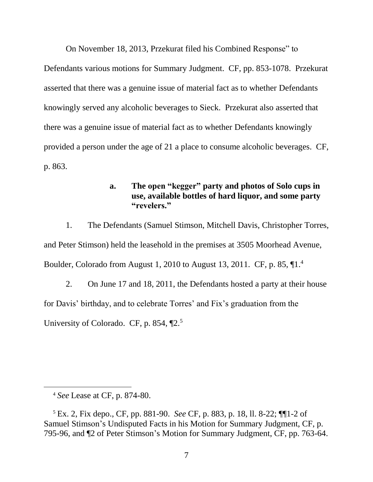On November 18, 2013, Przekurat filed his Combined Response" to

Defendants various motions for Summary Judgment. CF, pp. 853-1078. Przekurat asserted that there was a genuine issue of material fact as to whether Defendants knowingly served any alcoholic beverages to Sieck. Przekurat also asserted that there was a genuine issue of material fact as to whether Defendants knowingly provided a person under the age of 21 a place to consume alcoholic beverages. CF, p. 863.

# **a. The open "kegger" party and photos of Solo cups in use, available bottles of hard liquor, and some party "revelers."**

1. The Defendants (Samuel Stimson, Mitchell Davis, Christopher Torres, and Peter Stimson) held the leasehold in the premises at 3505 Moorhead Avenue, Boulder, Colorado from August 1, 2010 to August 13, 2011. CF, p. 85, ¶1.<sup>4</sup>

2. On June 17 and 18, 2011, the Defendants hosted a party at their house for Davis' birthday, and to celebrate Torres' and Fix's graduation from the University of Colorado. CF, p. 854, ¶2.<sup>5</sup>

<sup>4</sup> *See* Lease at CF, p. 874-80.

<sup>5</sup> Ex. 2, Fix depo., CF, pp. 881-90. *See* CF, p. 883, p. 18, ll. 8-22; ¶¶1-2 of Samuel Stimson's Undisputed Facts in his Motion for Summary Judgment, CF, p. 795-96, and ¶2 of Peter Stimson's Motion for Summary Judgment, CF, pp. 763-64.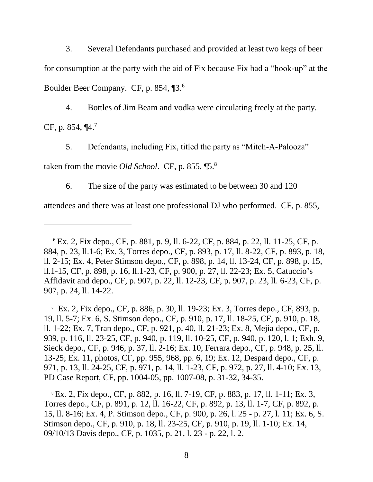3. Several Defendants purchased and provided at least two kegs of beer for consumption at the party with the aid of Fix because Fix had a "hook-up" at the Boulder Beer Company. CF, p. 854, ¶3.<sup>6</sup>

4. Bottles of Jim Beam and vodka were circulating freely at the party. CF, p. 854,  $\P$ 4.<sup>7</sup>

5. Defendants, including Fix, titled the party as "Mitch-A-Palooza"

taken from the movie *Old School*. CF, p. 855, ¶5.<sup>8</sup>

 $\overline{a}$ 

6. The size of the party was estimated to be between 30 and 120

attendees and there was at least one professional DJ who performed. CF, p. 855,

7 Ex. 2, Fix depo., CF, p. 886, p. 30, ll. 19-23; Ex. 3, Torres depo., CF, 893, p. 19, ll. 5-7; Ex. 6, S. Stimson depo., CF, p. 910, p. 17, ll. 18-25, CF, p. 910, p. 18, ll. 1-22; Ex. 7, Tran depo., CF, p. 921, p. 40, ll. 21-23; Ex. 8, Mejia depo., CF, p. 939, p. 116, ll. 23-25, CF, p. 940, p. 119, ll. 10-25, CF, p. 940, p. 120, l. 1; Exh. 9, Sieck depo., CF, p. 946, p. 37, ll. 2-16; Ex. 10, Ferrara depo., CF, p. 948, p. 25, ll. 13-25; Ex. 11, photos, CF, pp. 955, 968, pp. 6, 19; Ex. 12, Despard depo., CF, p. 971, p. 13, ll. 24-25, CF, p. 971, p. 14, ll. 1-23, CF, p. 972, p. 27, ll. 4-10; Ex. 13, PD Case Report, CF, pp. 1004-05, pp. 1007-08, p. 31-32, 34-35.

<sup>8</sup> Ex. 2, Fix depo., CF, p. 882, p. 16, ll. 7-19, CF, p. 883, p. 17, ll. 1-11; Ex. 3, Torres depo., CF, p. 891, p. 12, ll. 16-22, CF, p. 892, p. 13, ll. 1-7, CF, p. 892, p. 15, ll. 8-16; Ex. 4, P. Stimson depo., CF, p. 900, p. 26, l. 25 - p. 27, l. 11; Ex. 6, S. Stimson depo., CF, p. 910, p. 18, ll. 23-25, CF, p. 910, p. 19, ll. 1-10; Ex. 14, 09/10/13 Davis depo., CF, p. 1035, p. 21, l. 23 - p. 22, l. 2.

<sup>6</sup> Ex. 2, Fix depo., CF, p. 881, p. 9, ll. 6-22, CF, p. 884, p. 22, ll. 11-25, CF, p. 884, p. 23, ll.1-6; Ex. 3, Torres depo., CF, p. 893, p. 17, ll. 8-22, CF, p. 893, p. 18, ll. 2-15; Ex. 4, Peter Stimson depo., CF, p. 898, p. 14, ll. 13-24, CF, p. 898, p. 15, ll.1-15, CF, p. 898, p. 16, ll.1-23, CF, p. 900, p. 27, ll. 22-23; Ex. 5, Catuccio's Affidavit and depo., CF, p. 907, p. 22, ll. 12-23, CF, p. 907, p. 23, ll. 6-23, CF, p. 907, p. 24, ll. 14-22.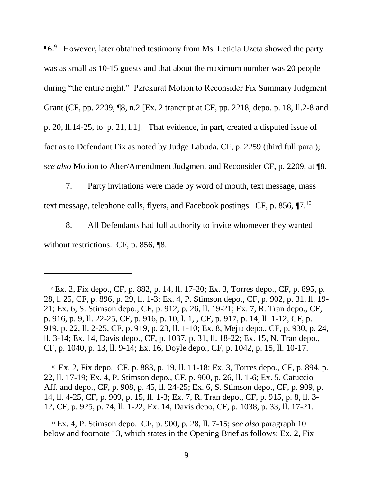¶6.<sup>9</sup> However, later obtained testimony from Ms. Leticia Uzeta showed the party was as small as 10-15 guests and that about the maximum number was 20 people during "the entire night." Pzrekurat Motion to Reconsider Fix Summary Judgment Grant (CF, pp. 2209, ¶8, n.2 [Ex. 2 trancript at CF, pp. 2218, depo. p. 18, ll.2-8 and p. 20, ll.14-25, to p. 21, l.1]. That evidence, in part, created a disputed issue of fact as to Defendant Fix as noted by Judge Labuda. CF, p. 2259 (third full para.); *see also* Motion to Alter/Amendment Judgment and Reconsider CF, p. 2209, at ¶8.

7. Party invitations were made by word of mouth, text message, mass text message, telephone calls, flyers, and Facebook postings. CF, p. 856,  $\P$ 7.<sup>10</sup>

8. All Defendants had full authority to invite whomever they wanted without restrictions. CF, p. 856,  $[8]$ .<sup>11</sup>

 $\overline{a}$ 

10 Ex. 2, Fix depo., CF, p. 883, p. 19, ll. 11-18; Ex. 3, Torres depo., CF, p. 894, p. 22, ll. 17-19; Ex. 4, P. Stimson depo., CF, p. 900, p. 26, ll. 1-6; Ex. 5, Catuccio Aff. and depo., CF, p. 908, p. 45, ll. 24-25; Ex. 6, S. Stimson depo., CF, p. 909, p. 14, ll. 4-25, CF, p. 909, p. 15, ll. 1-3; Ex. 7, R. Tran depo., CF, p. 915, p. 8, ll. 3- 12, CF, p. 925, p. 74, ll. 1-22; Ex. 14, Davis depo, CF, p. 1038, p. 33, ll. 17-21.

<sup>11</sup> Ex. 4, P. Stimson depo.CF, p. 900, p. 28, ll. 7-15; *see also* paragraph 10 below and footnote 13, which states in the Opening Brief as follows: Ex. 2, Fix

<sup>9</sup> Ex. 2, Fix depo., CF, p. 882, p. 14, ll. 17-20; Ex. 3, Torres depo., CF, p. 895, p. 28, l. 25, CF, p. 896, p. 29, ll. 1-3; Ex. 4, P. Stimson depo., CF, p. 902, p. 31, ll. 19- 21; Ex. 6, S. Stimson depo., CF, p. 912, p. 26, ll. 19-21; Ex. 7, R. Tran depo., CF, p. 916, p. 9, ll. 22-25, CF, p. 916, p. 10, l. 1, , CF, p. 917, p. 14, ll. 1-12, CF, p. 919, p. 22, ll. 2-25, CF, p. 919, p. 23, ll. 1-10; Ex. 8, Mejia depo., CF, p. 930, p. 24, ll. 3-14; Ex. 14, Davis depo., CF, p. 1037, p. 31, ll. 18-22; Ex. 15, N. Tran depo., CF, p. 1040, p. 13, ll. 9-14; Ex. 16, Doyle depo., CF, p. 1042, p. 15, ll. 10-17.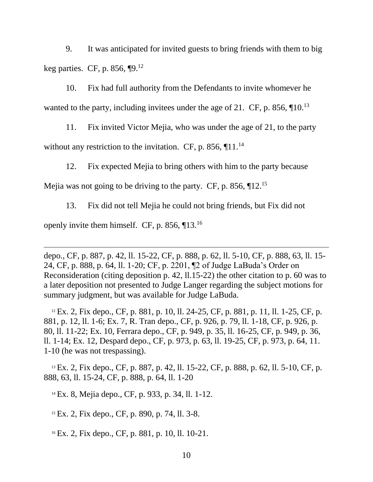9. It was anticipated for invited guests to bring friends with them to big keg parties. CF, p. 856,  $\P$ 9.<sup>12</sup>

10. Fix had full authority from the Defendants to invite whomever he wanted to the party, including invitees under the age of 21. CF, p. 856,  $\P$ 10.<sup>13</sup>

11. Fix invited Victor Mejia, who was under the age of 21, to the party without any restriction to the invitation. CF, p. 856,  $\P{11.^{14}}$ 

12. Fix expected Mejia to bring others with him to the party because

Mejia was not going to be driving to the party. CF, p. 856,  $\P$ 12.<sup>15</sup>

13. Fix did not tell Mejia he could not bring friends, but Fix did not

openly invite them himself. CF, p. 856,  $\P$ 13.<sup>16</sup>

 $\overline{a}$ 

depo., CF, p. 887, p. 42, ll. 15-22, CF, p. 888, p. 62, ll. 5-10, CF, p. 888, 63, ll. 15- 24, CF, p. 888, p. 64, ll. 1-20; CF, p. 2201, ¶2 of Judge LaBuda's Order on Reconsideration (citing deposition p. 42, ll.15-22) the other citation to p. 60 was to a later deposition not presented to Judge Langer regarding the subject motions for summary judgment, but was available for Judge LaBuda.

 $12$  Ex. 2, Fix depo., CF, p. 881, p. 10, ll. 24-25, CF, p. 881, p. 11, ll. 1-25, CF, p. 881, p. 12, ll. 1-6; Ex. 7, R. Tran depo., CF, p. 926, p. 79, ll. 1-18, CF, p. 926, p. 80, ll. 11-22; Ex. 10, Ferrara depo., CF, p. 949, p. 35, ll. 16-25, CF, p. 949, p. 36, ll. 1-14; Ex. 12, Despard depo., CF, p. 973, p. 63, ll. 19-25, CF, p. 973, p. 64, 11. 1-10 (he was not trespassing).

<sup>13</sup> Ex. 2, Fix depo., CF, p. 887, p. 42, ll. 15-22, CF, p. 888, p. 62, ll. 5-10, CF, p. 888, 63, ll. 15-24, CF, p. 888, p. 64, ll. 1-20

<sup>14</sup> Ex. 8, Mejia depo., CF, p. 933, p. 34, ll. 1-12.

<sup>15</sup> Ex. 2, Fix depo., CF, p. 890, p. 74, ll. 3-8.

<sup>16</sup> Ex. 2, Fix depo., CF, p. 881, p. 10, ll. 10-21.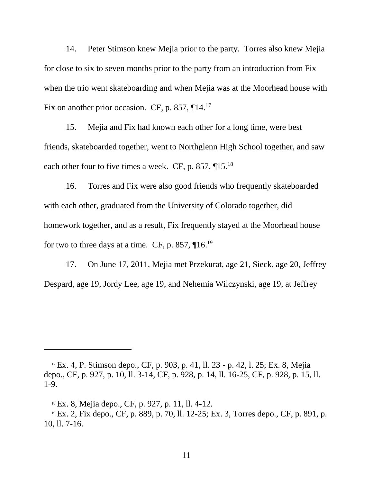14. Peter Stimson knew Mejia prior to the party. Torres also knew Mejia for close to six to seven months prior to the party from an introduction from Fix when the trio went skateboarding and when Mejia was at the Moorhead house with Fix on another prior occasion. CF, p. 857,  $\P{14.}^{17}$ 

15. Mejia and Fix had known each other for a long time, were best friends, skateboarded together, went to Northglenn High School together, and saw each other four to five times a week. CF, p. 857, ¶15.<sup>18</sup>

16. Torres and Fix were also good friends who frequently skateboarded with each other, graduated from the University of Colorado together, did homework together, and as a result, Fix frequently stayed at the Moorhead house for two to three days at a time. CF, p. 857,  $\P$ 16.<sup>19</sup>

17. On June 17, 2011, Mejia met Przekurat, age 21, Sieck, age 20, Jeffrey Despard, age 19, Jordy Lee, age 19, and Nehemia Wilczynski, age 19, at Jeffrey

<sup>17</sup> Ex. 4, P. Stimson depo., CF, p. 903, p. 41, ll. 23 - p. 42, l. 25; Ex. 8, Mejia depo., CF, p. 927, p. 10, ll. 3-14, CF, p. 928, p. 14, ll. 16-25, CF, p. 928, p. 15, ll. 1-9.

<sup>18</sup> Ex. 8, Mejia depo., CF, p. 927, p. 11, ll. 4-12.

<sup>19</sup> Ex. 2, Fix depo., CF, p. 889, p. 70, ll. 12-25; Ex. 3, Torres depo., CF, p. 891, p. 10, ll. 7-16.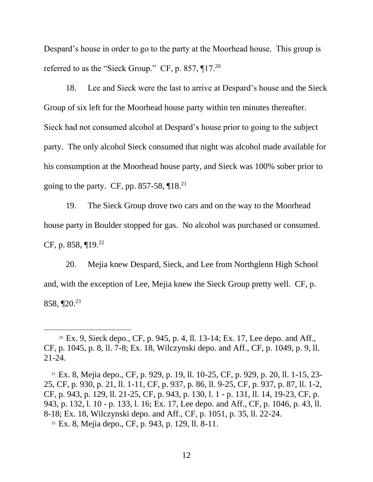Despard's house in order to go to the party at the Moorhead house. This group is referred to as the "Sieck Group." CF, p. 857,  $\P$ 17.<sup>20</sup>

18. Lee and Sieck were the last to arrive at Despard's house and the Sieck Group of six left for the Moorhead house party within ten minutes thereafter. Sieck had not consumed alcohol at Despard's house prior to going to the subject party. The only alcohol Sieck consumed that night was alcohol made available for his consumption at the Moorhead house party, and Sieck was 100% sober prior to going to the party. CF, pp. 857-58,  $\P$ 18.<sup>21</sup>

19. The Sieck Group drove two cars and on the way to the Moorhead house party in Boulder stopped for gas. No alcohol was purchased or consumed. CF, p. 858, ¶19.<sup>22</sup>

20. Mejia knew Despard, Sieck, and Lee from Northglenn High School and, with the exception of Lee, Mejia knew the Sieck Group pretty well. CF, p. 858, ¶20.<sup>23</sup>

<sup>20</sup> Ex. 9, Sieck depo., CF, p. 945, p. 4, ll. 13-14; Ex. 17, Lee depo. and Aff., CF, p. 1045, p. 8, ll. 7-8; Ex. 18, Wilczynski depo. and Aff., CF, p. 1049, p. 9, ll. 21-24.

<sup>21</sup> Ex. 8, Mejia depo., CF, p. 929, p. 19, ll. 10-25, CF, p. 929, p. 20, ll. 1-15, 23- 25, CF, p. 930, p. 21, ll. 1-11, CF, p. 937, p. 86, ll. 9-25, CF, p. 937, p. 87, ll. 1-2, CF, p. 943, p. 129, ll. 21-25, CF, p. 943, p. 130, l. 1 - p. 131, ll. 14, 19-23, CF, p. 943, p. 132, l. 10 - p. 133, l. 16; Ex. 17, Lee depo. and Aff., CF, p. 1046, p. 43, ll. 8-18; Ex. 18, Wilczynski depo. and Aff., CF, p. 1051, p. 35, ll. 22-24.

<sup>22</sup> Ex. 8, Mejia depo., CF, p. 943, p. 129, ll. 8-11.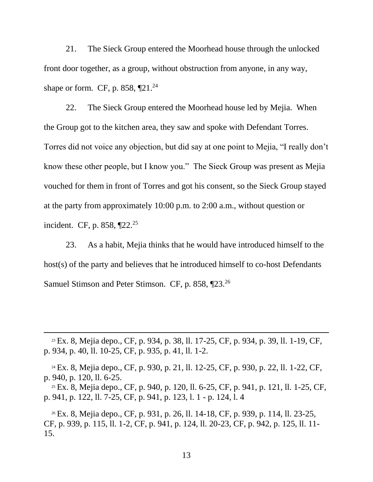21. The Sieck Group entered the Moorhead house through the unlocked front door together, as a group, without obstruction from anyone, in any way, shape or form. CF, p. 858,  $\P$ 21.<sup>24</sup>

22. The Sieck Group entered the Moorhead house led by Mejia. When the Group got to the kitchen area, they saw and spoke with Defendant Torres. Torres did not voice any objection, but did say at one point to Mejia, "I really don't know these other people, but I know you." The Sieck Group was present as Mejia vouched for them in front of Torres and got his consent, so the Sieck Group stayed at the party from approximately 10:00 p.m. to 2:00 a.m., without question or incident. CF, p. 858, ¶22.<sup>25</sup>

23. As a habit, Mejia thinks that he would have introduced himself to the host(s) of the party and believes that he introduced himself to co-host Defendants Samuel Stimson and Peter Stimson. CF, p. 858, 123.<sup>26</sup>

<sup>23</sup> Ex. 8, Mejia depo., CF, p. 934, p. 38, ll. 17-25, CF, p. 934, p. 39, ll. 1-19, CF, p. 934, p. 40, ll. 10-25, CF, p. 935, p. 41, ll. 1-2.

 $\overline{a}$ 

<sup>24</sup> Ex. 8, Mejia depo., CF, p. 930, p. 21, ll. 12-25, CF, p. 930, p. 22, ll. 1-22, CF, p. 940, p. 120, ll. 6-25.

<sup>25</sup> Ex. 8, Mejia depo., CF, p. 940, p. 120, ll. 6-25, CF, p. 941, p. 121, ll. 1-25, CF, p. 941, p. 122, ll. 7-25, CF, p. 941, p. 123, l. 1 - p. 124, l. 4

<sup>26</sup> Ex. 8, Mejia depo., CF, p. 931, p. 26, ll. 14-18, CF, p. 939, p. 114, ll. 23-25, CF, p. 939, p. 115, ll. 1-2, CF, p. 941, p. 124, ll. 20-23, CF, p. 942, p. 125, ll. 11- 15.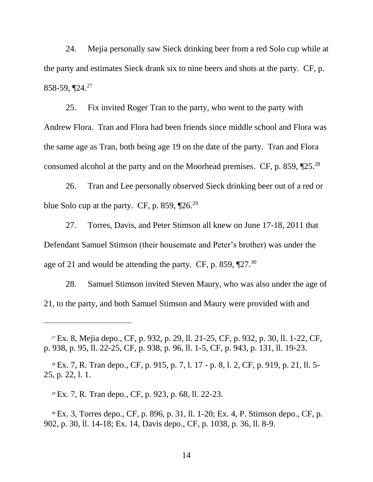24. Mejia personally saw Sieck drinking beer from a red Solo cup while at the party and estimates Sieck drank six to nine beers and shots at the party. CF, p. 858-59,  $\P$ 24.<sup>27</sup>

25. Fix invited Roger Tran to the party, who went to the party with Andrew Flora. Tran and Flora had been friends since middle school and Flora was the same age as Tran, both being age 19 on the date of the party. Tran and Flora consumed alcohol at the party and on the Moorhead premises. CF, p. 859, ¶25.<sup>28</sup>

26. Tran and Lee personally observed Sieck drinking beer out of a red or blue Solo cup at the party. CF, p. 859,  $\P$ 26.<sup>29</sup>

27. Torres, Davis, and Peter Stimson all knew on June 17-18, 2011 that Defendant Samuel Stimson (their housemate and Peter's brother) was under the age of 21 and would be attending the party. CF, p. 859, ¶27.<sup>30</sup>

28. Samuel Stimson invited Steven Maury, who was also under the age of 21, to the party, and both Samuel Stimson and Maury were provided with and

<sup>28</sup> Ex. 7, R. Tran depo., CF, p. 915, p. 7, l. 17 - p. 8, l. 2, CF, p. 919, p. 21, ll. 5- 25, p. 22, l. 1.

<sup>29</sup> Ex. 7, R. Tran depo., CF, p. 923, p. 68, ll. 22-23.

<sup>27</sup> Ex. 8, Mejia depo., CF, p. 932, p. 29, ll. 21-25, CF, p. 932, p. 30, ll. 1-22, CF, p. 938, p. 95, ll. 22-25, CF, p. 938, p. 96, ll. 1-5, CF, p. 943, p. 131, ll. 19-23.

<sup>30</sup> Ex. 3, Torres depo., CF, p. 896, p. 31, ll. 1-20; Ex. 4, P. Stimson depo., CF, p. 902, p. 30, ll. 14-18; Ex. 14, Davis depo., CF, p. 1038, p. 36, ll. 8-9.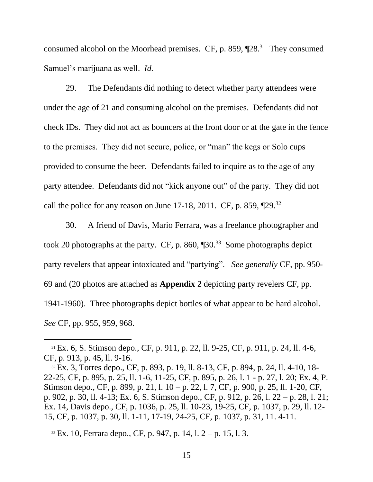consumed alcohol on the Moorhead premises. CF, p. 859,  $[28.31]$  They consumed Samuel's marijuana as well. *Id.* 

29. The Defendants did nothing to detect whether party attendees were under the age of 21 and consuming alcohol on the premises. Defendants did not check IDs. They did not act as bouncers at the front door or at the gate in the fence to the premises. They did not secure, police, or "man" the kegs or Solo cups provided to consume the beer. Defendants failed to inquire as to the age of any party attendee. Defendants did not "kick anyone out" of the party. They did not call the police for any reason on June 17-18, 2011. CF, p. 859,  $\P$ 29.<sup>32</sup>

30. A friend of Davis, Mario Ferrara, was a freelance photographer and took 20 photographs at the party. CF, p. 860,  $\P$ 30.<sup>33</sup> Some photographs depict party revelers that appear intoxicated and "partying". *See generally* CF, pp. 950- 69 and (20 photos are attached as **Appendix 2** depicting party revelers CF, pp. 1941-1960). Three photographs depict bottles of what appear to be hard alcohol. *See* CF, pp. 955, 959, 968.

<sup>31</sup> Ex. 6, S. Stimson depo., CF, p. 911, p. 22, ll. 9-25, CF, p. 911, p. 24, ll. 4-6, CF, p. 913, p. 45, ll. 9-16.

<sup>32</sup> Ex. 3, Torres depo., CF, p. 893, p. 19, ll. 8-13, CF, p. 894, p. 24, ll. 4-10, 18- 22-25, CF, p. 895, p. 25, ll. 1-6, 11-25, CF, p. 895, p. 26, l. 1 - p. 27, l. 20; Ex. 4, P. Stimson depo., CF, p. 899, p. 21, l. 10 – p. 22, l. 7, CF, p. 900, p. 25, ll. 1-20, CF, p. 902, p. 30, ll. 4-13; Ex. 6, S. Stimson depo., CF, p. 912, p. 26, l. 22 – p. 28, l. 21; Ex. 14, Davis depo., CF, p. 1036, p. 25, ll. 10-23, 19-25, CF, p. 1037, p. 29, ll. 12- 15, CF, p. 1037, p. 30, ll. 1-11, 17-19, 24-25, CF, p. 1037, p. 31, 11. 4-11.

 $33$  Ex. 10, Ferrara depo., CF, p. 947, p. 14, l.  $2 - p$ . 15, l. 3.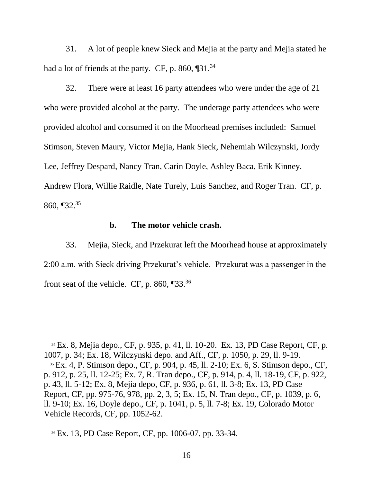31. A lot of people knew Sieck and Mejia at the party and Mejia stated he had a lot of friends at the party. CF, p. 860,  $\P$ 31.<sup>34</sup>

32. There were at least 16 party attendees who were under the age of 21 who were provided alcohol at the party. The underage party attendees who were provided alcohol and consumed it on the Moorhead premises included: Samuel Stimson, Steven Maury, Victor Mejia, Hank Sieck, Nehemiah Wilczynski, Jordy Lee, Jeffrey Despard, Nancy Tran, Carin Doyle, Ashley Baca, Erik Kinney, Andrew Flora, Willie Raidle, Nate Turely, Luis Sanchez, and Roger Tran. CF, p. 860,  $\P$ 32.<sup>35</sup>

#### **b. The motor vehicle crash.**

33. Mejia, Sieck, and Przekurat left the Moorhead house at approximately 2:00 a.m. with Sieck driving Przekurat's vehicle. Przekurat was a passenger in the front seat of the vehicle. CF, p. 860,  $\P$ 33.<sup>36</sup>

<sup>34</sup> Ex. 8, Mejia depo., CF, p. 935, p. 41, ll. 10-20. Ex. 13, PD Case Report, CF, p. 1007, p. 34; Ex. 18, Wilczynski depo. and Aff., CF, p. 1050, p. 29, ll. 9-19.

<sup>35</sup> Ex. 4, P. Stimson depo., CF, p. 904, p. 45, ll. 2-10; Ex. 6, S. Stimson depo., CF, p. 912, p. 25, ll. 12-25; Ex. 7, R. Tran depo., CF, p. 914, p. 4, ll. 18-19, CF, p. 922, p. 43, ll. 5-12; Ex. 8, Mejia depo, CF, p. 936, p. 61, ll. 3-8; Ex. 13, PD Case Report, CF, pp. 975-76, 978, pp. 2, 3, 5; Ex. 15, N. Tran depo., CF, p. 1039, p. 6, ll. 9-10; Ex. 16, Doyle depo., CF, p. 1041, p. 5, ll. 7-8; Ex. 19, Colorado Motor Vehicle Records, CF, pp. 1052-62.

<sup>36</sup> Ex. 13, PD Case Report, CF, pp. 1006-07, pp. 33-34.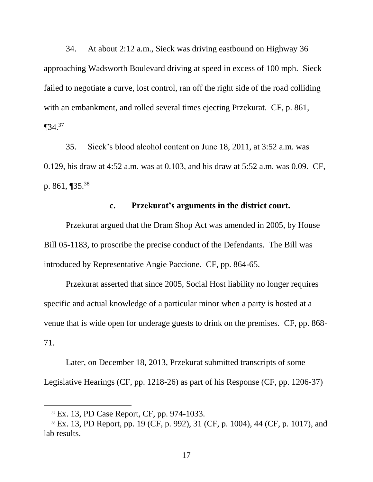34. At about 2:12 a.m., Sieck was driving eastbound on Highway 36 approaching Wadsworth Boulevard driving at speed in excess of 100 mph. Sieck failed to negotiate a curve, lost control, ran off the right side of the road colliding with an embankment, and rolled several times ejecting Przekurat. CF, p. 861,  $\P$ 34.<sup>37</sup>

35. Sieck's blood alcohol content on June 18, 2011, at 3:52 a.m. was 0.129, his draw at 4:52 a.m. was at 0.103, and his draw at 5:52 a.m. was 0.09. CF, p. 861, ¶35.<sup>38</sup>

## **c. Przekurat's arguments in the district court.**

Przekurat argued that the Dram Shop Act was amended in 2005, by House Bill 05-1183, to proscribe the precise conduct of the Defendants. The Bill was introduced by Representative Angie Paccione. CF, pp. 864-65.

Przekurat asserted that since 2005, Social Host liability no longer requires specific and actual knowledge of a particular minor when a party is hosted at a venue that is wide open for underage guests to drink on the premises. CF, pp. 868- 71.

Later, on December 18, 2013, Przekurat submitted transcripts of some Legislative Hearings (CF, pp. 1218-26) as part of his Response (CF, pp. 1206-37)

<sup>&</sup>lt;sup>37</sup> Ex. 13, PD Case Report, CF, pp. 974-1033.

<sup>38</sup> Ex. 13, PD Report, pp. 19 (CF, p. 992), 31 (CF, p. 1004), 44 (CF, p. 1017), and lab results.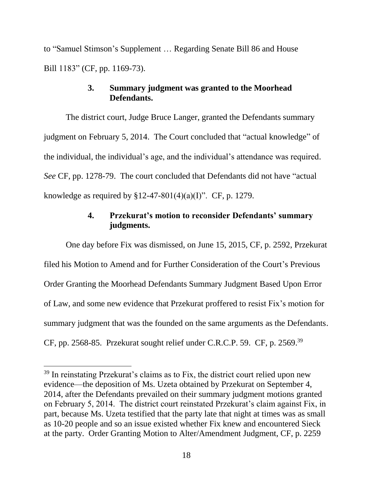to "Samuel Stimson's Supplement … Regarding Senate Bill 86 and House Bill 1183" (CF, pp. 1169-73).

## **3. Summary judgment was granted to the Moorhead Defendants.**

The district court, Judge Bruce Langer, granted the Defendants summary judgment on February 5, 2014. The Court concluded that "actual knowledge" of the individual, the individual's age, and the individual's attendance was required. *See* CF, pp. 1278-79. The court concluded that Defendants did not have "actual knowledge as required by  $$12-47-801(4)(a)(I)$ ". CF, p. 1279.

# **4. Przekurat's motion to reconsider Defendants' summary judgments.**

One day before Fix was dismissed, on June 15, 2015, CF, p. 2592, Przekurat filed his Motion to Amend and for Further Consideration of the Court's Previous Order Granting the Moorhead Defendants Summary Judgment Based Upon Error of Law, and some new evidence that Przekurat proffered to resist Fix's motion for summary judgment that was the founded on the same arguments as the Defendants. CF, pp. 2568-85. Przekurat sought relief under C.R.C.P. 59. CF, p. 2569.<sup>39</sup>

<sup>&</sup>lt;sup>39</sup> In reinstating Przekurat's claims as to Fix, the district court relied upon new evidence—the deposition of Ms. Uzeta obtained by Przekurat on September 4, 2014, after the Defendants prevailed on their summary judgment motions granted on February 5, 2014. The district court reinstated Przekurat's claim against Fix, in part, because Ms. Uzeta testified that the party late that night at times was as small as 10-20 people and so an issue existed whether Fix knew and encountered Sieck at the party. Order Granting Motion to Alter/Amendment Judgment, CF, p. 2259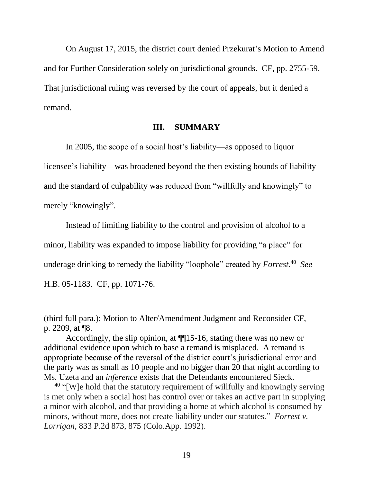On August 17, 2015, the district court denied Przekurat's Motion to Amend and for Further Consideration solely on jurisdictional grounds. CF, pp. 2755-59. That jurisdictional ruling was reversed by the court of appeals, but it denied a remand.

#### **III. SUMMARY**

In 2005, the scope of a social host's liability—as opposed to liquor licensee's liability—was broadened beyond the then existing bounds of liability and the standard of culpability was reduced from "willfully and knowingly" to merely "knowingly".

Instead of limiting liability to the control and provision of alcohol to a minor, liability was expanded to impose liability for providing "a place" for underage drinking to remedy the liability "loophole" created by *Forrest*. 40 *See* H.B. 05-1183. CF, pp. 1071-76.

<sup>(</sup>third full para.); Motion to Alter/Amendment Judgment and Reconsider CF, p. 2209, at ¶8.

Accordingly, the slip opinion, at ¶¶15-16, stating there was no new or additional evidence upon which to base a remand is misplaced. A remand is appropriate because of the reversal of the district court's jurisdictional error and the party was as small as 10 people and no bigger than 20 that night according to Ms. Uzeta and an *inference* exists that the Defendants encountered Sieck.

<sup>&</sup>lt;sup>40</sup> "[W]e hold that the statutory requirement of willfully and knowingly serving is met only when a social host has control over or takes an active part in supplying a minor with alcohol, and that providing a home at which alcohol is consumed by minors, without more, does not create liability under our statutes." *Forrest v. Lorrigan*, 833 P.2d 873, 875 (Colo.App. 1992).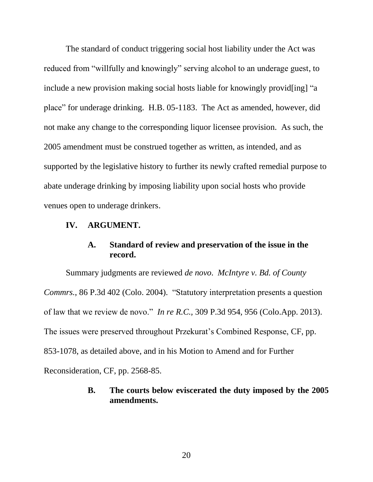The standard of conduct triggering social host liability under the Act was reduced from "willfully and knowingly" serving alcohol to an underage guest, to include a new provision making social hosts liable for knowingly provid [ing] "a place" for underage drinking. H.B. 05-1183. The Act as amended, however, did not make any change to the corresponding liquor licensee provision. As such, the 2005 amendment must be construed together as written, as intended, and as supported by the legislative history to further its newly crafted remedial purpose to abate underage drinking by imposing liability upon social hosts who provide venues open to underage drinkers.

### **IV. ARGUMENT.**

## **A. Standard of review and preservation of the issue in the record.**

Summary judgments are reviewed *de novo*. *McIntyre v. Bd. of County Commrs.*, 86 P.3d 402 (Colo. 2004). "Statutory interpretation presents a question of law that we review de novo." *In re R.C.,* 309 P.3d 954, 956 (Colo.App. 2013). The issues were preserved throughout Przekurat's Combined Response, CF, pp. 853-1078, as detailed above, and in his Motion to Amend and for Further Reconsideration, CF, pp. 2568-85.

# **B. The courts below eviscerated the duty imposed by the 2005 amendments.**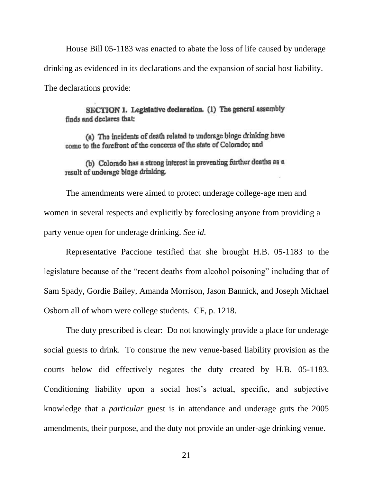House Bill 05-1183 was enacted to abate the loss of life caused by underage drinking as evidenced in its declarations and the expansion of social host liability. The declarations provide:

SECTION 1. Legislative declaration. (1) The general assembly finds and declares that:

(a) The incidents of death related to underage binge drinking have come to the forefront of the concerns of the state of Colorado; and

(b) Colorado has a strong interest in preventing further deaths as a result of underage binge drinking.

The amendments were aimed to protect underage college-age men and women in several respects and explicitly by foreclosing anyone from providing a party venue open for underage drinking. *See id.*

Representative Paccione testified that she brought H.B. 05-1183 to the legislature because of the "recent deaths from alcohol poisoning" including that of Sam Spady, Gordie Bailey, Amanda Morrison, Jason Bannick, and Joseph Michael Osborn all of whom were college students. CF, p. 1218.

The duty prescribed is clear: Do not knowingly provide a place for underage social guests to drink. To construe the new venue-based liability provision as the courts below did effectively negates the duty created by H.B. 05-1183. Conditioning liability upon a social host's actual, specific, and subjective knowledge that a *particular* guest is in attendance and underage guts the 2005 amendments, their purpose, and the duty not provide an under-age drinking venue.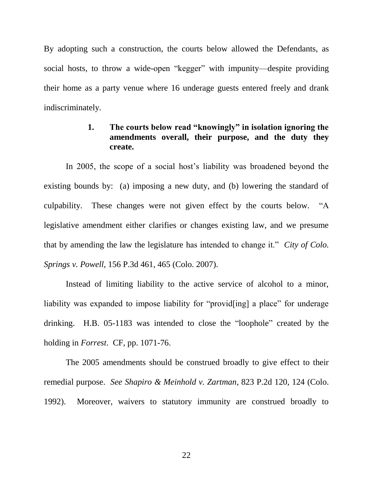By adopting such a construction, the courts below allowed the Defendants, as social hosts, to throw a wide-open "kegger" with impunity—despite providing their home as a party venue where 16 underage guests entered freely and drank indiscriminately.

## **1. The courts below read "knowingly" in isolation ignoring the amendments overall, their purpose, and the duty they create.**

In 2005, the scope of a social host's liability was broadened beyond the existing bounds by: (a) imposing a new duty, and (b) lowering the standard of culpability. These changes were not given effect by the courts below. "A legislative amendment either clarifies or changes existing law, and we presume that by amending the law the legislature has intended to change it." *City of Colo. Springs v. Powell*, 156 P.3d 461, 465 (Colo. 2007).

Instead of limiting liability to the active service of alcohol to a minor, liability was expanded to impose liability for "provid[ing] a place" for underage drinking. H.B. 05-1183 was intended to close the "loophole" created by the holding in *Forrest*. CF, pp. 1071-76.

The 2005 amendments should be construed broadly to give effect to their remedial purpose. *See Shapiro & Meinhold v. Zartman*, 823 P.2d 120, 124 (Colo. 1992). Moreover, waivers to statutory immunity are construed broadly to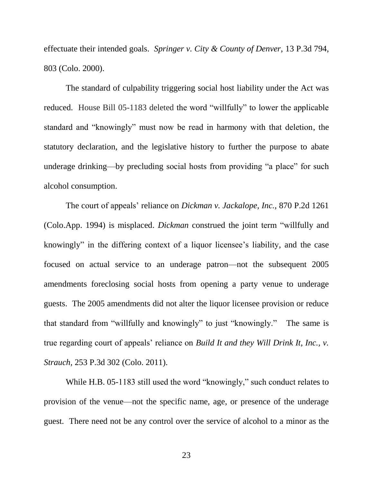effectuate their intended goals. *Springer v. City & County of Denver,* 13 P.3d 794, 803 (Colo. 2000).

The standard of culpability triggering social host liability under the Act was reduced. House Bill 05-1183 deleted the word "willfully" to lower the applicable standard and "knowingly" must now be read in harmony with that deletion, the statutory declaration, and the legislative history to further the purpose to abate underage drinking—by precluding social hosts from providing "a place" for such alcohol consumption.

The court of appeals' reliance on *Dickman v. Jackalope, Inc.*, 870 P.2d 1261 (Colo.App. 1994) is misplaced. *Dickman* construed the joint term "willfully and knowingly" in the differing context of a liquor licensee's liability, and the case focused on actual service to an underage patron—not the subsequent 2005 amendments foreclosing social hosts from opening a party venue to underage guests. The 2005 amendments did not alter the liquor licensee provision or reduce that standard from "willfully and knowingly" to just "knowingly." The same is true regarding court of appeals' reliance on *Build It and they Will Drink It, Inc., v. Strauch,* 253 P.3d 302 (Colo. 2011).

While H.B. 05-1183 still used the word "knowingly," such conduct relates to provision of the venue—not the specific name, age, or presence of the underage guest. There need not be any control over the service of alcohol to a minor as the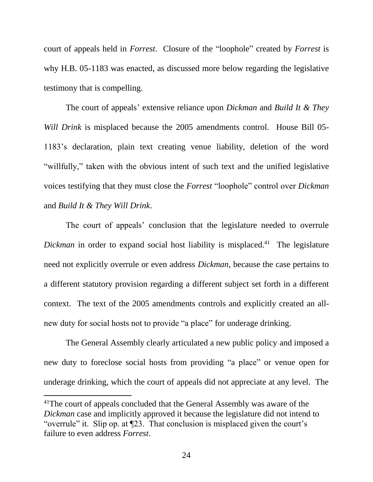court of appeals held in *Forrest*. Closure of the "loophole" created by *Forrest* is why H.B. 05-1183 was enacted, as discussed more below regarding the legislative testimony that is compelling.

The court of appeals' extensive reliance upon *Dickman* and *Build It & They Will Drink* is misplaced because the 2005 amendments control. House Bill 05- 1183's declaration, plain text creating venue liability, deletion of the word "willfully," taken with the obvious intent of such text and the unified legislative voices testifying that they must close the *Forrest* "loophole" control over *Dickman* and *Build It & They Will Drink*.

The court of appeals' conclusion that the legislature needed to overrule Dickman in order to expand social host liability is misplaced.<sup>41</sup> The legislature need not explicitly overrule or even address *Dickman*, because the case pertains to a different statutory provision regarding a different subject set forth in a different context. The text of the 2005 amendments controls and explicitly created an allnew duty for social hosts not to provide "a place" for underage drinking.

The General Assembly clearly articulated a new public policy and imposed a new duty to foreclose social hosts from providing "a place" or venue open for underage drinking, which the court of appeals did not appreciate at any level. The

<sup>&</sup>lt;sup>41</sup>The court of appeals concluded that the General Assembly was aware of the *Dickman* case and implicitly approved it because the legislature did not intend to "overrule" it. Slip op. at ¶23. That conclusion is misplaced given the court's failure to even address *Forrest*.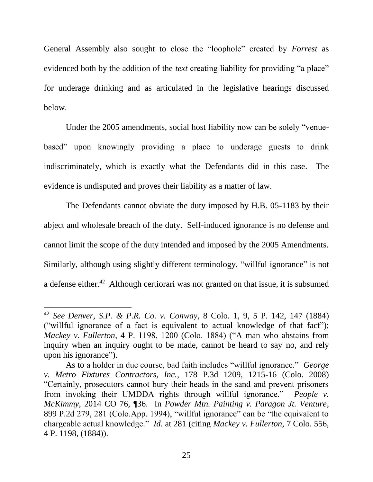General Assembly also sought to close the "loophole" created by *Forrest* as evidenced both by the addition of the *text* creating liability for providing "a place" for underage drinking and as articulated in the legislative hearings discussed below.

Under the 2005 amendments, social host liability now can be solely "venuebased" upon knowingly providing a place to underage guests to drink indiscriminately, which is exactly what the Defendants did in this case. The evidence is undisputed and proves their liability as a matter of law.

The Defendants cannot obviate the duty imposed by H.B. 05-1183 by their abject and wholesale breach of the duty. Self-induced ignorance is no defense and cannot limit the scope of the duty intended and imposed by the 2005 Amendments. Similarly, although using slightly different terminology, "willful ignorance" is not a defense either.<sup>42</sup> Although certiorari was not granted on that issue, it is subsumed

<sup>42</sup> *See Denver, S.P. & P.R. Co. v. Conway*, 8 Colo. 1, 9, 5 P. 142, 147 (1884) ("willful ignorance of a fact is equivalent to actual knowledge of that fact"); *Mackey v. Fullerton*, 4 P. 1198, 1200 (Colo. 1884) ("A man who abstains from inquiry when an inquiry ought to be made, cannot be heard to say no, and rely upon his ignorance").

As to a holder in due course, bad faith includes "willful ignorance." *George v. Metro Fixtures Contractors, Inc.*, 178 P.3d 1209, 1215-16 (Colo. 2008) "Certainly, prosecutors cannot bury their heads in the sand and prevent prisoners from invoking their UMDDA rights through willful ignorance." *People v. McKimmy*, 2014 CO 76, ¶36. In *Powder Mtn. Painting v. Paragon Jt. Venture*, 899 P.2d 279, 281 (Colo.App. 1994), "willful ignorance" can be "the equivalent to chargeable actual knowledge." *Id*. at 281 (citing *Mackey v. Fullerton*, 7 Colo. 556, 4 P. 1198, (1884)).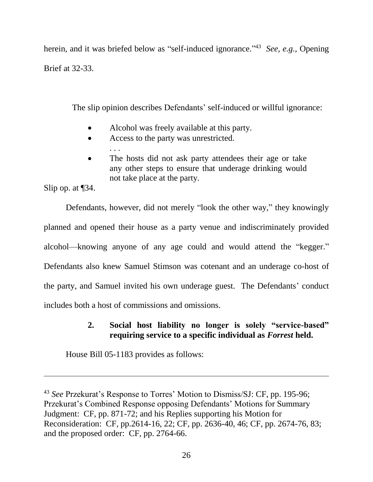herein, and it was briefed below as "self-induced ignorance."<sup>43</sup> See, e.g., Opening Brief at 32-33.

The slip opinion describes Defendants' self-induced or willful ignorance:

- Alcohol was freely available at this party.
- Access to the party was unrestricted.

. . .

 The hosts did not ask party attendees their age or take any other steps to ensure that underage drinking would not take place at the party.

Slip op. at ¶34.

 $\overline{a}$ 

Defendants, however, did not merely "look the other way," they knowingly planned and opened their house as a party venue and indiscriminately provided alcohol—knowing anyone of any age could and would attend the "kegger." Defendants also knew Samuel Stimson was cotenant and an underage co-host of the party, and Samuel invited his own underage guest. The Defendants' conduct includes both a host of commissions and omissions.

# **2. Social host liability no longer is solely "service-based" requiring service to a specific individual as** *Forrest* **held.**

House Bill 05-1183 provides as follows:

<sup>43</sup> *See* Przekurat's Response to Torres' Motion to Dismiss/SJ: CF, pp. 195-96; Przekurat's Combined Response opposing Defendants' Motions for Summary Judgment: CF, pp. 871-72; and his Replies supporting his Motion for Reconsideration: CF, pp.2614-16, 22; CF, pp. 2636-40, 46; CF, pp. 2674-76, 83; and the proposed order: CF, pp. 2764-66.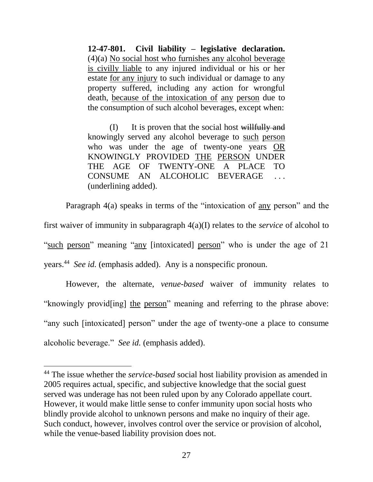**12-47-801. Civil liability – legislative declaration.** (4)(a) No social host who furnishes any alcohol beverage is civilly liable to any injured individual or his or her estate for any injury to such individual or damage to any property suffered, including any action for wrongful death, because of the intoxication of any person due to the consumption of such alcohol beverages, except when:

(I) It is proven that the social host willfully and knowingly served any alcohol beverage to such person who was under the age of twenty-one years OR KNOWINGLY PROVIDED THE PERSON UNDER THE AGE OF TWENTY-ONE A PLACE TO CONSUME AN ALCOHOLIC BEVERAGE . . . (underlining added).

Paragraph 4(a) speaks in terms of the "intoxication of any person" and the first waiver of immunity in subparagraph 4(a)(I) relates to the *service* of alcohol to "such person" meaning "any [intoxicated] person" who is under the age of 21 years.<sup>44</sup> See id. (emphasis added). Any is a nonspecific pronoun.

However, the alternate, *venue-based* waiver of immunity relates to "knowingly provid[ing] the person" meaning and referring to the phrase above: "any such [intoxicated] person" under the age of twenty-one a place to consume alcoholic beverage." *See id.* (emphasis added).

<sup>44</sup> The issue whether the *service-based* social host liability provision as amended in 2005 requires actual, specific, and subjective knowledge that the social guest served was underage has not been ruled upon by any Colorado appellate court. However, it would make little sense to confer immunity upon social hosts who blindly provide alcohol to unknown persons and make no inquiry of their age. Such conduct, however, involves control over the service or provision of alcohol, while the venue-based liability provision does not.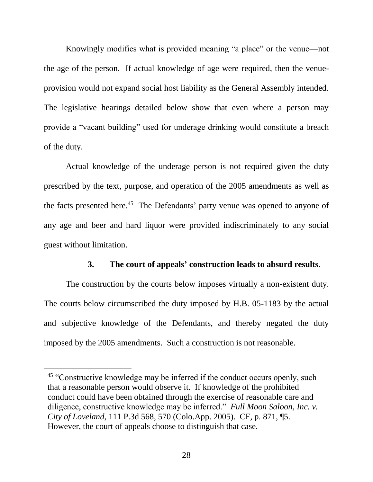Knowingly modifies what is provided meaning "a place" or the venue—not the age of the person. If actual knowledge of age were required, then the venueprovision would not expand social host liability as the General Assembly intended. The legislative hearings detailed below show that even where a person may provide a "vacant building" used for underage drinking would constitute a breach of the duty.

Actual knowledge of the underage person is not required given the duty prescribed by the text, purpose, and operation of the 2005 amendments as well as the facts presented here.<sup>45</sup> The Defendants' party venue was opened to anyone of any age and beer and hard liquor were provided indiscriminately to any social guest without limitation.

### **3. The court of appeals' construction leads to absurd results.**

The construction by the courts below imposes virtually a non-existent duty. The courts below circumscribed the duty imposed by H.B. 05-1183 by the actual and subjective knowledge of the Defendants, and thereby negated the duty imposed by the 2005 amendments. Such a construction is not reasonable.

<sup>&</sup>lt;sup>45</sup> "Constructive knowledge may be inferred if the conduct occurs openly, such that a reasonable person would observe it. If knowledge of the prohibited conduct could have been obtained through the exercise of reasonable care and diligence, constructive knowledge may be inferred." *Full Moon Saloon, Inc. v. City of Loveland*, 111 P.3d 568, 570 (Colo.App. 2005). CF, p. 871, ¶5. However, the court of appeals choose to distinguish that case.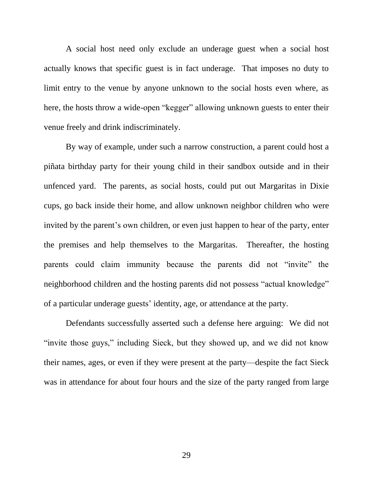A social host need only exclude an underage guest when a social host actually knows that specific guest is in fact underage. That imposes no duty to limit entry to the venue by anyone unknown to the social hosts even where, as here, the hosts throw a wide-open "kegger" allowing unknown guests to enter their venue freely and drink indiscriminately.

By way of example, under such a narrow construction, a parent could host a piñata birthday party for their young child in their sandbox outside and in their unfenced yard. The parents, as social hosts, could put out Margaritas in Dixie cups, go back inside their home, and allow unknown neighbor children who were invited by the parent's own children, or even just happen to hear of the party, enter the premises and help themselves to the Margaritas. Thereafter, the hosting parents could claim immunity because the parents did not "invite" the neighborhood children and the hosting parents did not possess "actual knowledge" of a particular underage guests' identity, age, or attendance at the party.

Defendants successfully asserted such a defense here arguing: We did not "invite those guys," including Sieck, but they showed up, and we did not know their names, ages, or even if they were present at the party—despite the fact Sieck was in attendance for about four hours and the size of the party ranged from large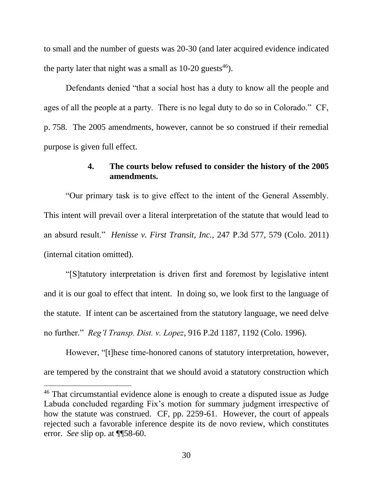to small and the number of guests was 20-30 (and later acquired evidence indicated the party later that night was a small as  $10{\text -}20$  guests<sup>46</sup>).

Defendants denied "that a social host has a duty to know all the people and ages of all the people at a party. There is no legal duty to do so in Colorado." CF, p. 758. The 2005 amendments, however, cannot be so construed if their remedial purpose is given full effect.

### **4. The courts below refused to consider the history of the 2005 amendments.**

"Our primary task is to give effect to the intent of the General Assembly. This intent will prevail over a literal interpretation of the statute that would lead to an absurd result." *Henisse v. First Transit, Inc.*, 247 P.3d 577, 579 (Colo. 2011) (internal citation omitted).

"[S]tatutory interpretation is driven first and foremost by legislative intent and it is our goal to effect that intent. In doing so, we look first to the language of the statute. If intent can be ascertained from the statutory language, we need delve no further." *Reg'l Transp. Dist. v. Lopez*, 916 P.2d 1187, 1192 (Colo. 1996).

However, "[t]hese time-honored canons of statutory interpretation, however, are tempered by the constraint that we should avoid a statutory construction which

<sup>46</sup> That circumstantial evidence alone is enough to create a disputed issue as Judge Labuda concluded regarding Fix's motion for summary judgment irrespective of how the statute was construed. CF, pp. 2259-61. However, the court of appeals rejected such a favorable inference despite its de novo review, which constitutes error. *See* slip op. at ¶¶58-60.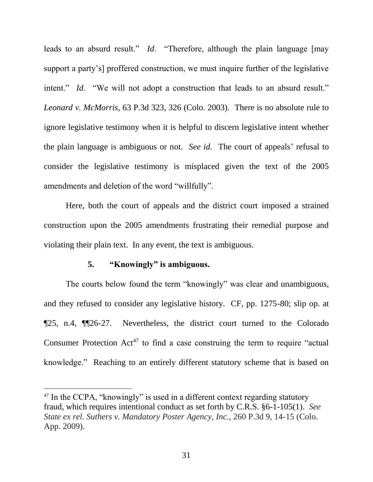leads to an absurd result." *Id*. "Therefore, although the plain language [may support a party's] proffered construction, we must inquire further of the legislative intent." *Id.* "We will not adopt a construction that leads to an absurd result." *Leonard v. McMorris*, 63 P.3d 323, 326 (Colo. 2003). There is no absolute rule to ignore legislative testimony when it is helpful to discern legislative intent whether the plain language is ambiguous or not. *See id.* The court of appeals' refusal to consider the legislative testimony is misplaced given the text of the 2005 amendments and deletion of the word "willfully".

Here, both the court of appeals and the district court imposed a strained construction upon the 2005 amendments frustrating their remedial purpose and violating their plain text. In any event, the text is ambiguous.

#### **5. "Knowingly" is ambiguous.**

 $\overline{a}$ 

The courts below found the term "knowingly" was clear and unambiguous, and they refused to consider any legislative history. CF, pp. 1275-80; slip op. at ¶25, n.4, ¶¶26-27. Nevertheless, the district court turned to the Colorado Consumer Protection  $Act^{47}$  to find a case construing the term to require "actual" knowledge." Reaching to an entirely different statutory scheme that is based on

<sup>47</sup> In the CCPA, "knowingly" is used in a different context regarding statutory fraud, which requires intentional conduct as set forth by C.R.S. [§6-1-105\(1\).](https://a.next.westlaw.com/Link/Document/FullText?findType=L&pubNum=1000517&cite=COSTS6-1-105&originatingDoc=I91e0861ff0ae11deb08de1b7506ad85b&refType=SP&originationContext=document&transitionType=DocumentItem&contextData=(sc.Search)#co_pp_f1c50000821b0) *See State ex rel. Suthers v. Mandatory Poster Agency, Inc.*, 260 P.3d 9, 14-15 (Colo. App. 2009).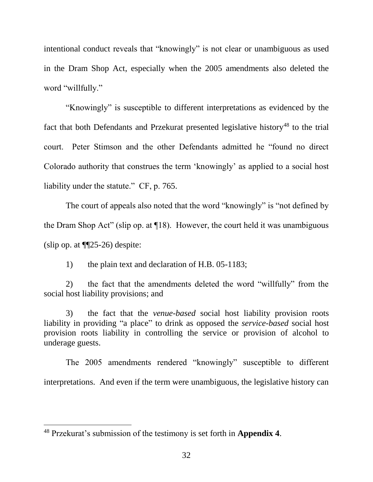intentional conduct reveals that "knowingly" is not clear or unambiguous as used in the Dram Shop Act, especially when the 2005 amendments also deleted the word "willfully."

"Knowingly" is susceptible to different interpretations as evidenced by the fact that both Defendants and Przekurat presented legislative history<sup>48</sup> to the trial court. Peter Stimson and the other Defendants admitted he "found no direct Colorado authority that construes the term 'knowingly' as applied to a social host liability under the statute." CF, p. 765.

The court of appeals also noted that the word "knowingly" is "not defined by the Dram Shop Act" (slip op. at ¶18). However, the court held it was unambiguous (slip op. at  $\P$  $(25-26)$  despite:

1) the plain text and declaration of H.B. 05-1183;

2) the fact that the amendments deleted the word "willfully" from the social host liability provisions; and

3) the fact that the *venue-based* social host liability provision roots liability in providing "a place" to drink as opposed the *service-based* social host provision roots liability in controlling the service or provision of alcohol to underage guests.

The 2005 amendments rendered "knowingly" susceptible to different interpretations. And even if the term were unambiguous, the legislative history can

<sup>48</sup> Przekurat's submission of the testimony is set forth in **Appendix 4**.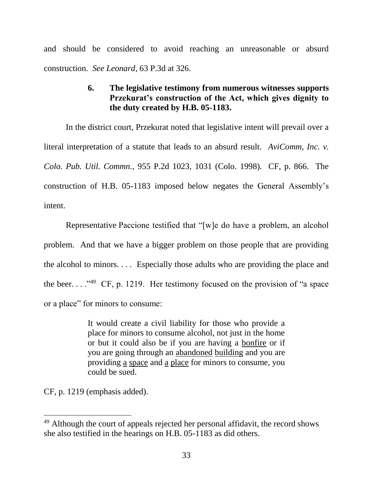and should be considered to avoid reaching an unreasonable or absurd construction. *See Leonard*, 63 P.3d at 326.

# **6. The legislative testimony from numerous witnesses supports Przekurat's construction of the Act, which gives dignity to the duty created by H.B. 05-1183.**

In the district court, Przekurat noted that legislative intent will prevail over a literal interpretation of a statute that leads to an absurd result. *AviComm, Inc. v. Colo. Pub. Util. Commn.*, 955 P.2d 1023, 1031 (Colo. 1998). CF, p. 866. The construction of H.B. 05-1183 imposed below negates the General Assembly's intent.

Representative Paccione testified that "[w]e do have a problem, an alcohol problem. And that we have a bigger problem on those people that are providing the alcohol to minors. . . . Especially those adults who are providing the place and the beer...."<sup>49</sup> CF, p. 1219. Her testimony focused on the provision of "a space" or a place" for minors to consume:

> It would create a civil liability for those who provide a place for minors to consume alcohol, not just in the home or but it could also be if you are having a bonfire or if you are going through an abandoned building and you are providing a space and a place for minors to consume, you could be sued.

CF, p. 1219 (emphasis added).

<sup>&</sup>lt;sup>49</sup> Although the court of appeals rejected her personal affidavit, the record shows she also testified in the hearings on H.B. 05-1183 as did others.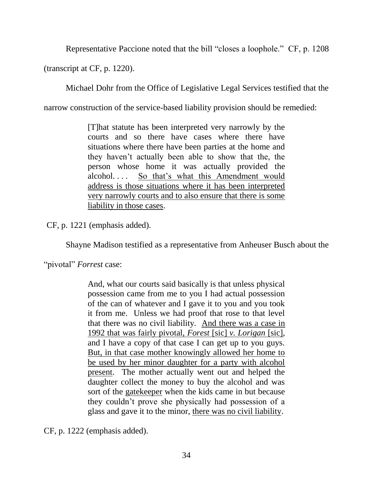Representative Paccione noted that the bill "closes a loophole." CF, p. 1208

(transcript at CF, p. 1220).

Michael Dohr from the Office of Legislative Legal Services testified that the

narrow construction of the service-based liability provision should be remedied:

[T]hat statute has been interpreted very narrowly by the courts and so there have cases where there have situations where there have been parties at the home and they haven't actually been able to show that the, the person whose home it was actually provided the alcohol. . . . So that's what this Amendment would address is those situations where it has been interpreted very narrowly courts and to also ensure that there is some liability in those cases.

CF, p. 1221 (emphasis added).

Shayne Madison testified as a representative from Anheuser Busch about the

"pivotal" *Forrest* case:

And, what our courts said basically is that unless physical possession came from me to you I had actual possession of the can of whatever and I gave it to you and you took it from me. Unless we had proof that rose to that level that there was no civil liability. And there was a case in 1992 that was fairly pivotal, *Forest* [sic] *v. Lorigan* [sic], and I have a copy of that case I can get up to you guys. But, in that case mother knowingly allowed her home to be used by her minor daughter for a party with alcohol present. The mother actually went out and helped the daughter collect the money to buy the alcohol and was sort of the gatekeeper when the kids came in but because they couldn't prove she physically had possession of a glass and gave it to the minor, there was no civil liability.

CF, p. 1222 (emphasis added).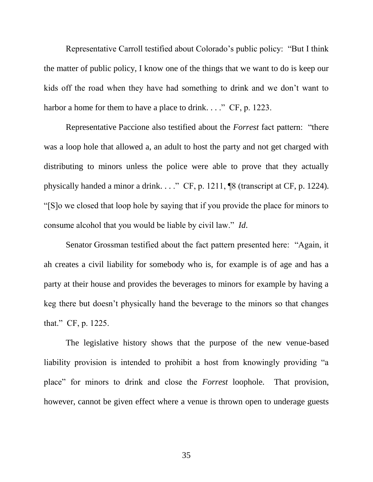Representative Carroll testified about Colorado's public policy: "But I think the matter of public policy, I know one of the things that we want to do is keep our kids off the road when they have had something to drink and we don't want to harbor a home for them to have a place to drink...." CF, p. 1223.

Representative Paccione also testified about the *Forrest* fact pattern: "there was a loop hole that allowed a, an adult to host the party and not get charged with distributing to minors unless the police were able to prove that they actually physically handed a minor a drink. . . ." CF, p. 1211, ¶8 (transcript at CF, p. 1224). "[S]o we closed that loop hole by saying that if you provide the place for minors to consume alcohol that you would be liable by civil law." *Id*.

Senator Grossman testified about the fact pattern presented here: "Again, it ah creates a civil liability for somebody who is, for example is of age and has a party at their house and provides the beverages to minors for example by having a keg there but doesn't physically hand the beverage to the minors so that changes that." CF, p. 1225.

The legislative history shows that the purpose of the new venue-based liability provision is intended to prohibit a host from knowingly providing "a place" for minors to drink and close the *Forrest* loophole. That provision, however, cannot be given effect where a venue is thrown open to underage guests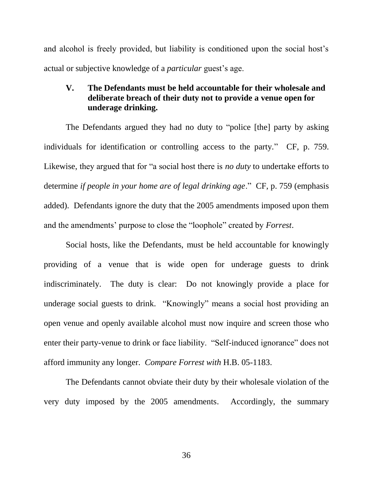and alcohol is freely provided, but liability is conditioned upon the social host's actual or subjective knowledge of a *particular* guest's age.

# **V. The Defendants must be held accountable for their wholesale and deliberate breach of their duty not to provide a venue open for underage drinking.**

The Defendants argued they had no duty to "police [the] party by asking individuals for identification or controlling access to the party." CF, p. 759. Likewise, they argued that for "a social host there is *no duty* to undertake efforts to determine *if people in your home are of legal drinking age*." CF, p. 759 (emphasis added). Defendants ignore the duty that the 2005 amendments imposed upon them and the amendments' purpose to close the "loophole" created by *Forrest*.

Social hosts, like the Defendants, must be held accountable for knowingly providing of a venue that is wide open for underage guests to drink indiscriminately. The duty is clear: Do not knowingly provide a place for underage social guests to drink. "Knowingly" means a social host providing an open venue and openly available alcohol must now inquire and screen those who enter their party-venue to drink or face liability. "Self-induced ignorance" does not afford immunity any longer. *Compare Forrest with* H.B. 05-1183.

The Defendants cannot obviate their duty by their wholesale violation of the very duty imposed by the 2005 amendments. Accordingly, the summary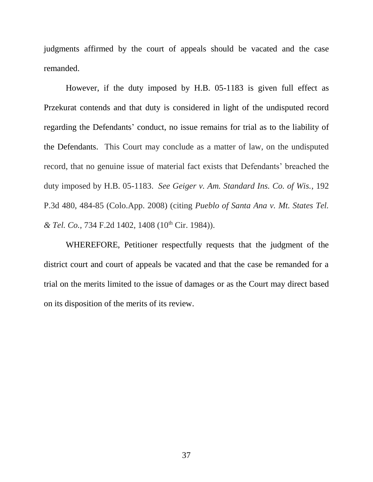judgments affirmed by the court of appeals should be vacated and the case remanded.

However, if the duty imposed by H.B. 05-1183 is given full effect as Przekurat contends and that duty is considered in light of the undisputed record regarding the Defendants' conduct, no issue remains for trial as to the liability of the Defendants. This Court may conclude as a matter of law, on the undisputed record, that no genuine issue of material fact exists that Defendants' breached the duty imposed by H.B. 05-1183. *See Geiger v. Am. Standard Ins. Co. of Wis.*, 192 P.3d 480, 484-85 (Colo.App. 2008) (citing *Pueblo of Santa Ana v. Mt. States Tel. & Tel. Co., 734 F.2d 1402, 1408 (10<sup>th</sup> Cir. 1984)).* 

WHEREFORE, Petitioner respectfully requests that the judgment of the district court and court of appeals be vacated and that the case be remanded for a trial on the merits limited to the issue of damages or as the Court may direct based on its disposition of the merits of its review.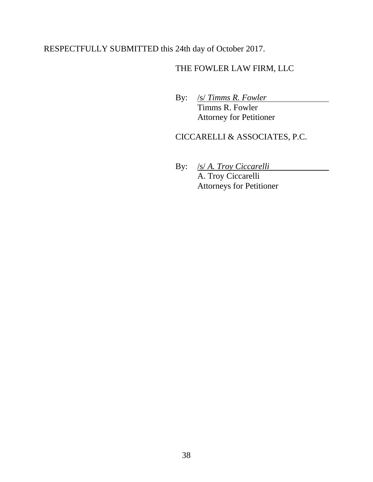# RESPECTFULLY SUBMITTED this 24th day of October 2017.

# THE FOWLER LAW FIRM, LLC

By: /s/ *Timms R. Fowler* Timms R. Fowler Attorney for Petitioner

# CICCARELLI & ASSOCIATES, P.C.

By: /s/ *A. Troy Ciccarelli* A. Troy Ciccarelli Attorneys for Petitioner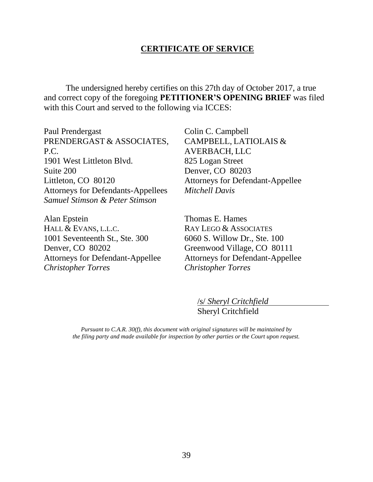### **CERTIFICATE OF SERVICE**

The undersigned hereby certifies on this 27th day of October 2017, a true and correct copy of the foregoing **PETITIONER'S OPENING BRIEF** was filed with this Court and served to the following via ICCES:

Paul Prendergast PRENDERGAST & ASSOCIATES, P.C. 1901 West Littleton Blvd. Suite 200 Littleton, CO 80120 Attorneys for Defendants-Appellees *Samuel Stimson & Peter Stimson*

Alan Epstein HALL & EVANS, L.L.C. 1001 Seventeenth St., Ste. 300 Denver, CO 80202 Attorneys for Defendant-Appellee *Christopher Torres*

Colin C. Campbell CAMPBELL, LATIOLAIS & AVERBACH, LLC 825 Logan Street Denver, CO 80203 Attorneys for Defendant-Appellee *Mitchell Davis*

Thomas E. Hames RAY LEGO & ASSOCIATES 6060 S. Willow Dr., Ste. 100 Greenwood Village, CO 80111 Attorneys for Defendant-Appellee *Christopher Torres*

> /s/ *Sheryl Critchfield* Sheryl Critchfield

*Pursuant to C.A.R. 30(f), this document with original signatures will be maintained by the filing party and made available for inspection by other parties or the Court upon request.*